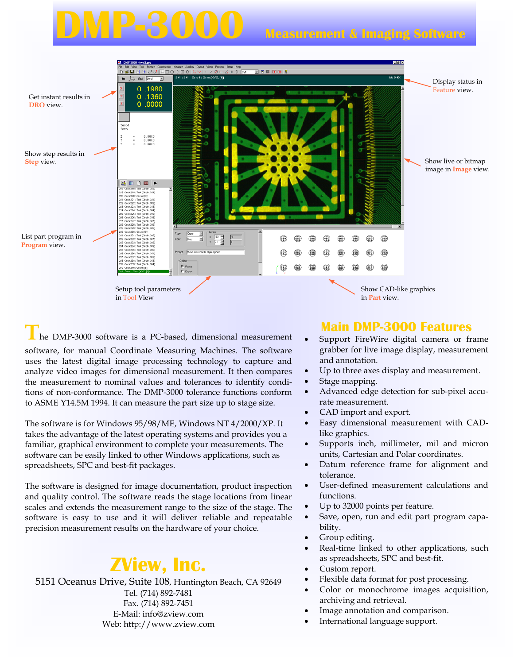# **Measurement & Imaging Software**



**T**he DMP-3000 software is a PC-based, dimensional measurement software, for manual Coordinate Measuring Machines. The software uses the latest digital image processing technology to capture and analyze video images for dimensional measurement. It then compares the measurement to nominal values and tolerances to identify conditions of non-conformance. The DMP-3000 tolerance functions conform to ASME Y14.5M 1994. It can measure the part size up to stage size.

The software is for Windows 95/98/ME, Windows NT 4/2000/XP. It takes the advantage of the latest operating systems and provides you a familiar, graphical environment to complete your measurements. The software can be easily linked to other Windows applications, such as spreadsheets, SPC and best-fit packages.

The software is designed for image documentation, product inspection and quality control. The software reads the stage locations from linear scales and extends the measurement range to the size of the stage. The software is easy to use and it will deliver reliable and repeatable precision measurement results on the hardware of your choice.

## **ZView, Inc.**

5151 Oceanus Drive, Suite 108, Huntington Beach, CA 92649 Tel. (714) 892-7481 Fax. (714) 892-7451 E-Mail: info@zview.com Web: http://www.zview.com

### **Main DMP-3000 Features**

- Support FireWire digital camera or frame grabber for live image display, measurement and annotation.
- Up to three axes display and measurement.
- Stage mapping.
- Advanced edge detection for sub-pixel accurate measurement.
- CAD import and export.
- Easy dimensional measurement with CADlike graphics.
- Supports inch, millimeter, mil and micron units, Cartesian and Polar coordinates.
- Datum reference frame for alignment and tolerance.
- User-defined measurement calculations and functions.
- Up to 32000 points per feature.
- Save, open, run and edit part program capability.
- Group editing.
- Real-time linked to other applications, such as spreadsheets, SPC and best-fit.
- Custom report.
- Flexible data format for post processing.
- Color or monochrome images acquisition, archiving and retrieval.
- Image annotation and comparison.
- International language support.